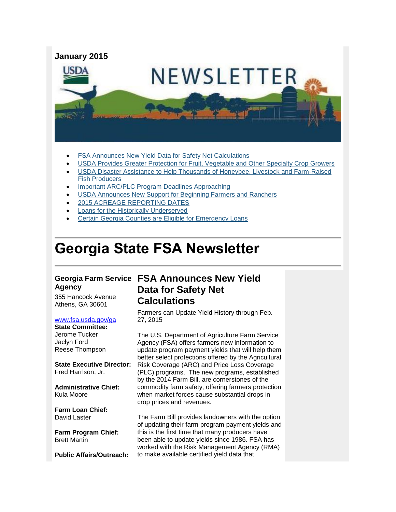

- FSA Announces New [Yield Data for Safety Net Calculations](#page-0-0)
- [USDA Provides Greater Protection for Fruit, Vegetable and Other Specialty Crop Growers](#page-1-0)
- [USDA Disaster Assistance to Help Thousands of Honeybee, Livestock and Farm-Raised](#page-2-0)  [Fish Producers](#page-2-0)
- [Important ARC/PLC Program Deadlines Approaching](#page-2-1)
- [USDA Announces New Support for Beginning Farmers and Ranchers](#page-3-0)
- [2015 ACREAGE REPORTING DATES](#page-4-0)
- [Loans for the Historically Underserved](#page-5-0)
- [Certain Georgia Counties are Eligible for Emergency Loans](#page-5-1)

## **Georgia State FSA Newsletter**

# **Agency**

355 Hancock Avenue Athens, GA 30601

#### [www.fsa.usda.gov/ga](http://www.fsa.usda.gov/ga)

**State Committee:** Jerome Tucker Jaclyn Ford Reese Thompson

**State Executive Director:** Fred Harrlson, Jr.

**Administrative Chief:** Kula Moore

**Farm Loan Chief:** David Laster

**Farm Program Chief:** Brett Martin

**Public Affairs/Outreach:**

#### **Georgia Farm Service FSA Announces New Yield Data for Safety Net Calculations**

<span id="page-0-0"></span>Farmers can Update Yield History through Feb. 27, 2015

The U.S. Department of Agriculture Farm Service Agency (FSA) offers farmers new information to update program payment yields that will help them better select protections offered by the Agricultural Risk Coverage (ARC) and Price Loss Coverage (PLC) programs. The new programs, established by the 2014 Farm Bill, are cornerstones of the commodity farm safety, offering farmers protection when market forces cause substantial drops in crop prices and revenues.

The Farm Bill provides landowners with the option of updating their farm program payment yields and this is the first time that many producers have been able to update yields since 1986. FSA has worked with the Risk Management Agency (RMA) to make available certified yield data that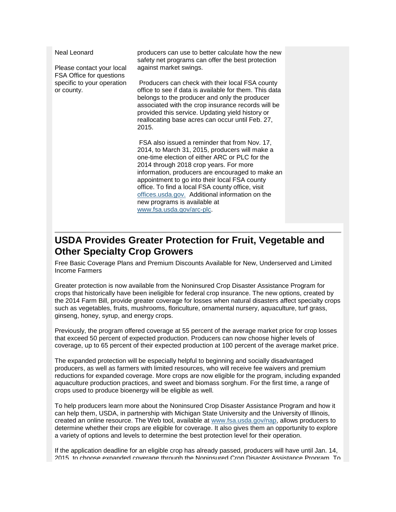| Neal Leonard<br>Please contact your local                            | producers can use to better calculate how the new<br>safety net programs can offer the best protection<br>against market swings.                                                                                                                                                                                                                                                                                                                                     |
|----------------------------------------------------------------------|----------------------------------------------------------------------------------------------------------------------------------------------------------------------------------------------------------------------------------------------------------------------------------------------------------------------------------------------------------------------------------------------------------------------------------------------------------------------|
| FSA Office for questions<br>specific to your operation<br>or county. | Producers can check with their local FSA county<br>office to see if data is available for them. This data<br>belongs to the producer and only the producer<br>associated with the crop insurance records will be<br>provided this service. Updating yield history or<br>reallocating base acres can occur until Feb. 27,<br>2015.                                                                                                                                    |
|                                                                      | FSA also issued a reminder that from Nov. 17,<br>2014, to March 31, 2015, producers will make a<br>one-time election of either ARC or PLC for the<br>2014 through 2018 crop years. For more<br>information, producers are encouraged to make an<br>appointment to go into their local FSA county<br>office. To find a local FSA county office, visit<br>offices.usda.gov. Additional information on the<br>new programs is available at<br>www.fsa.usda.gov/arc-plc. |

#### <span id="page-1-0"></span>**USDA Provides Greater Protection for Fruit, Vegetable and Other Specialty Crop Growers**

Free Basic Coverage Plans and Premium Discounts Available for New, Underserved and Limited Income Farmers

Greater protection is now available from the Noninsured Crop Disaster Assistance Program for crops that historically have been ineligible for federal crop insurance. The new options, created by the 2014 Farm Bill, provide greater coverage for losses when natural disasters affect specialty crops such as vegetables, fruits, mushrooms, floriculture, ornamental nursery, aquaculture, turf grass, ginseng, honey, syrup, and energy crops.

Previously, the program offered coverage at 55 percent of the average market price for crop losses that exceed 50 percent of expected production. Producers can now choose higher levels of coverage, up to 65 percent of their expected production at 100 percent of the average market price.

The expanded protection will be especially helpful to beginning and socially disadvantaged producers, as well as farmers with limited resources, who will receive fee waivers and premium reductions for expanded coverage. More crops are now eligible for the program, including expanded aquaculture production practices, and sweet and biomass sorghum. For the first time, a range of crops used to produce bioenergy will be eligible as well.

To help producers learn more about the Noninsured Crop Disaster Assistance Program and how it can help them, USDA, in partnership with Michigan State University and the University of Illinois, created an online resource. The Web tool, available at [www.fsa.usda.gov/nap,](http://www.fsa.usda.gov/nap) allows producers to determine whether their crops are eligible for coverage. It also gives them an opportunity to explore a variety of options and levels to determine the best protection level for their operation.

If the application deadline for an eligible crop has already passed, producers will have until Jan. 14, 2015, to choose expanded coverage through the Noninsured Crop Disaster Assistance Program. To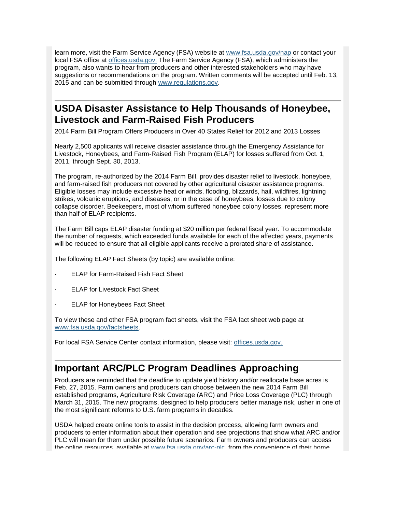learn more, visit the Farm Service Agency (FSA) website at [www.fsa.usda.gov/nap](http://www.fsa.usda.gov/nap) or contact your local FSA office at [offices.usda.gov.](http://offices.sc.egov.usda.gov/locator/app) The Farm Service Agency (FSA), which administers the program, also wants to hear from producers and other interested stakeholders who may have suggestions or recommendations on the program. Written comments will be accepted until Feb. 13, 2015 and can be submitted through [www.regulations.gov.](http://www.regulations.gov/)

#### <span id="page-2-0"></span>**USDA Disaster Assistance to Help Thousands of Honeybee, Livestock and Farm-Raised Fish Producers**

2014 Farm Bill Program Offers Producers in Over 40 States Relief for 2012 and 2013 Losses

Nearly 2,500 applicants will receive disaster assistance through the Emergency Assistance for Livestock, Honeybees, and Farm-Raised Fish Program (ELAP) for losses suffered from Oct. 1, 2011, through Sept. 30, 2013.

The program, re-authorized by the 2014 Farm Bill, provides disaster relief to livestock, honeybee, and farm-raised fish producers not covered by other agricultural disaster assistance programs. Eligible losses may include excessive heat or winds, flooding, blizzards, hail, wildfires, lightning strikes, volcanic eruptions, and diseases, or in the case of honeybees, losses due to colony collapse disorder. Beekeepers, most of whom suffered honeybee colony losses, represent more than half of ELAP recipients.

The Farm Bill caps ELAP disaster funding at \$20 million per federal fiscal year. To accommodate the number of requests, which exceeded funds available for each of the affected years, payments will be reduced to ensure that all eligible applicants receive a prorated share of assistance.

The following ELAP Fact Sheets (by topic) are available online:

- **ELAP for Farm-Raised Fish Fact Sheet**
- **ELAP for Livestock Fact Sheet**
- ELAP for Honeybees Fact Sheet

To view these and other FSA program fact sheets, visit the FSA fact sheet web page at [www.fsa.usda.gov/factsheets.](http://www.fsa.usda.gov/factsheets)

For local FSA Service Center contact information, please visit: [offices.usda.gov.](http://offices.sc.egov.usda.gov/locator/app)

#### <span id="page-2-1"></span>**Important ARC/PLC Program Deadlines Approaching**

Producers are reminded that the deadline to update yield history and/or reallocate base acres is Feb. 27, 2015. Farm owners and producers can choose between the new 2014 Farm Bill established programs, Agriculture Risk Coverage (ARC) and Price Loss Coverage (PLC) through March 31, 2015. The new programs, designed to help producers better manage risk, usher in one of the most significant reforms to U.S. farm programs in decades.

USDA helped create online tools to assist in the decision process, allowing farm owners and producers to enter information about their operation and see projections that show what ARC and/or PLC will mean for them under possible future scenarios. Farm owners and producers can access the online resources, available at [www.fsa.usda.gov/arc-plc,](http://www.fsa.usda.gov/arc-plc) from the convenience of their home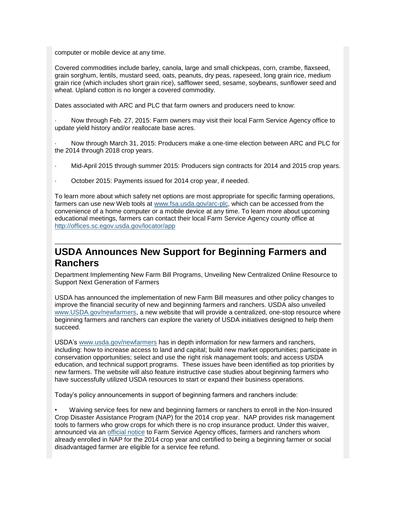computer or mobile device at any time.

Covered commodities include barley, canola, large and small chickpeas, corn, crambe, flaxseed, grain sorghum, lentils, mustard seed, oats, peanuts, dry peas, rapeseed, long grain rice, medium grain rice (which includes short grain rice), safflower seed, sesame, soybeans, sunflower seed and wheat. Upland cotton is no longer a covered commodity.

Dates associated with ARC and PLC that farm owners and producers need to know:

· Now through Feb. 27, 2015: Farm owners may visit their local Farm Service Agency office to update yield history and/or reallocate base acres.

· Now through March 31, 2015: Producers make a one-time election between ARC and PLC for the 2014 through 2018 crop years.

- · Mid-April 2015 through summer 2015: Producers sign contracts for 2014 and 2015 crop years.
- October 2015: Payments issued for 2014 crop year, if needed.

To learn more about which safety net options are most appropriate for specific farming operations, farmers can use new Web tools at [www.fsa.usda.gov/arc-plc,](http://www.fsa.usda.gov/arc-plc) which can be accessed from the convenience of a home computer or a mobile device at any time. To learn more about upcoming educational meetings, farmers can contact their local Farm Service Agency county office at <http://offices.sc.egov.usda.gov/locator/app>

### <span id="page-3-0"></span>**USDA Announces New Support for Beginning Farmers and Ranchers**

Department Implementing New Farm Bill Programs, Unveiling New Centralized Online Resource to Support Next Generation of Farmers

USDA has announced the implementation of new Farm Bill measures and other policy changes to improve the financial security of new and beginning farmers and ranchers. USDA also unveiled [www.USDA.gov/newfarmers,](http://www.usda.gov/wps/portal/usda/newfarmers?navid=newfarmers) a new website that will provide a centralized, one-stop resource where beginning farmers and ranchers can explore the variety of USDA initiatives designed to help them succeed.

USDA's [www.usda.gov/newfarmers](http://www.usda.gov/newfarmers) has in depth information for new farmers and ranchers, including: how to increase access to land and capital; build new market opportunities; participate in conservation opportunities; select and use the right risk management tools; and access USDA education, and technical support programs. These issues have been identified as top priorities by new farmers. The website will also feature instructive case studies about beginning farmers who have successfully utilized USDA resources to start or expand their business operations.

Today's policy announcements in support of beginning farmers and ranchers include:

• Waiving service fees for new and beginning farmers or ranchers to enroll in the Non-Insured Crop Disaster Assistance Program (NAP) for the 2014 crop year. NAP provides risk management tools to farmers who grow crops for which there is no crop insurance product. Under this waiver, announced via an [official](http://www.fsa.usda.gov/Internet/FSA_Notice/nap_162.pdf) notice to Farm Service Agency offices, farmers and ranchers whom already enrolled in NAP for the 2014 crop year and certified to being a beginning farmer or social disadvantaged farmer are eligible for a service fee refund.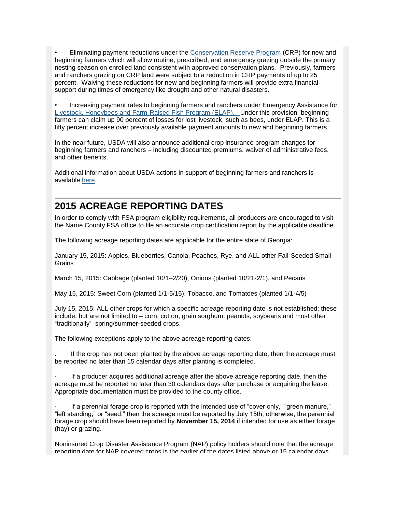• Eliminating payment reductions under the [Conservation Reserve](http://www.fsa.usda.gov/FSA/webapp?area=home&subject=copr&topic=crp) Program (CRP) for new and beginning farmers which will allow routine, prescribed, and emergency grazing outside the primary nesting season on enrolled land consistent with approved conservation plans. Previously, farmers and ranchers grazing on CRP land were subject to a reduction in CRP payments of up to 25 percent. Waiving these reductions for new and beginning farmers will provide extra financial support during times of emergency like drought and other natural disasters.

• Increasing payment rates to beginning farmers and ranchers under Emergency Assistance for [Livestock, Honeybees and Farm-Raised Fish Program \(ELAP\). U](http://www.fsa.usda.gov/Internet/FSA_File/elap_honeybee_fact_sht.pdf)nder this provision, beginning farmers can claim up 90 percent of losses for lost livestock, such as bees, under ELAP. This is a fifty percent increase over previously available payment amounts to new and beginning farmers.

In the near future, USDA will also announce additional crop insurance program changes for beginning farmers and ranchers – including discounted premiums, waiver of administrative fees, and other benefits.

Additional information about USDA actions in support of beginning farmers and ranchers is available [here.](http://www.usda.gov/wps/portal/usda/usdahome?contentidonly=true&contentid=usda-results-beginning-farmers.html)

#### <span id="page-4-0"></span>**2015 ACREAGE REPORTING DATES**

In order to comply with FSA program eligibility requirements, all producers are encouraged to visit the Name County FSA office to file an accurate crop certification report by the applicable deadline.

The following acreage reporting dates are applicable for the entire state of Georgia:

January 15, 2015: Apples, Blueberries, Canola, Peaches, Rye, and ALL other Fall-Seeded Small **Grains** 

March 15, 2015: Cabbage (planted 10/1–2/20), Onions (planted 10/21-2/1), and Pecans

May 15, 2015: Sweet Corn (planted 1/1-5/15), Tobacco, and Tomatoes (planted 1/1-4/5)

July 15, 2015: ALL other crops for which a specific acreage reporting date is not established; these include, but are not limited to – corn, cotton, grain sorghum, peanuts, soybeans and most other "traditionally" spring/summer-seeded crops.

The following exceptions apply to the above acreage reporting dates:

If the crop has not been planted by the above acreage reporting date, then the acreage must be reported no later than 15 calendar days after planting is completed.

If a producer acquires additional acreage after the above acreage reporting date, then the acreage must be reported no later than 30 calendars days after purchase or acquiring the lease. Appropriate documentation must be provided to the county office.

If a perennial forage crop is reported with the intended use of "cover only," "green manure," "left standing," or "seed," then the acreage must be reported by July 15th; otherwise, the perennial forage crop should have been reported by **November 15, 2014** if intended for use as either forage (hay) or grazing.

Noninsured Crop Disaster Assistance Program (NAP) policy holders should note that the acreage reporting date for NAP covered crops is the earlier of the dates listed above or 15 calendar days